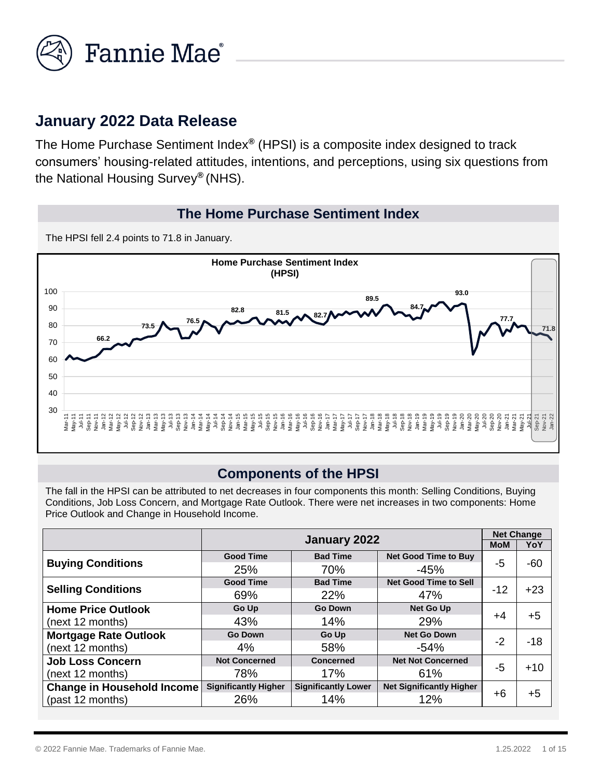

## **January 2022 Data Release**

The Home Purchase Sentiment Index*®* (HPSI) is a composite index designed to track consumers' housing-related attitudes, intentions, and perceptions, using six questions from the National Housing Survey*®* (NHS).

#### **The Home Purchase Sentiment Index**

The HPSI fell 2.4 points to 71.8 in January.



#### **Components of the HPSI**

The fall in the HPSI can be attributed to net decreases in four components this month: Selling Conditions, Buying Conditions, Job Loss Concern, and Mortgage Rate Outlook. There were net increases in two components: Home Price Outlook and Change in Household Income.

|                                   | January 2022                |                            |                                 |       | <b>Net Change</b> |
|-----------------------------------|-----------------------------|----------------------------|---------------------------------|-------|-------------------|
|                                   |                             | <b>MoM</b>                 | YoY                             |       |                   |
|                                   | <b>Good Time</b>            | <b>Bad Time</b>            | <b>Net Good Time to Buy</b>     |       | $-60$             |
| <b>Buying Conditions</b>          | 25%                         | 70%                        | $-45%$                          | -5    |                   |
|                                   | <b>Good Time</b>            | <b>Bad Time</b>            | <b>Net Good Time to Sell</b>    |       |                   |
| <b>Selling Conditions</b>         | 69%                         | 22%                        | 47%                             | $-12$ | $+23$             |
| <b>Home Price Outlook</b>         | Go Up                       | <b>Go Down</b>             | <b>Net Go Up</b>                |       |                   |
| (next 12 months)                  | 43%                         | 14%                        | 29%                             | $+4$  | $+5$              |
| <b>Mortgage Rate Outlook</b>      | <b>Go Down</b>              | Go Up                      | <b>Net Go Down</b>              |       |                   |
| (next 12 months)                  | 4%                          | 58%                        | $-54%$                          | -2    | $-18$             |
| <b>Job Loss Concern</b>           | <b>Not Concerned</b>        | <b>Concerned</b>           | <b>Net Not Concerned</b>        |       |                   |
| (next 12 months)                  | 78%                         | 17%                        | 61%                             | $-5$  | $+10$             |
| <b>Change in Household Income</b> | <b>Significantly Higher</b> | <b>Significantly Lower</b> | <b>Net Significantly Higher</b> |       |                   |
| (past 12 months)                  | 26%                         | 14%                        | 12%                             | +6    | $+5$              |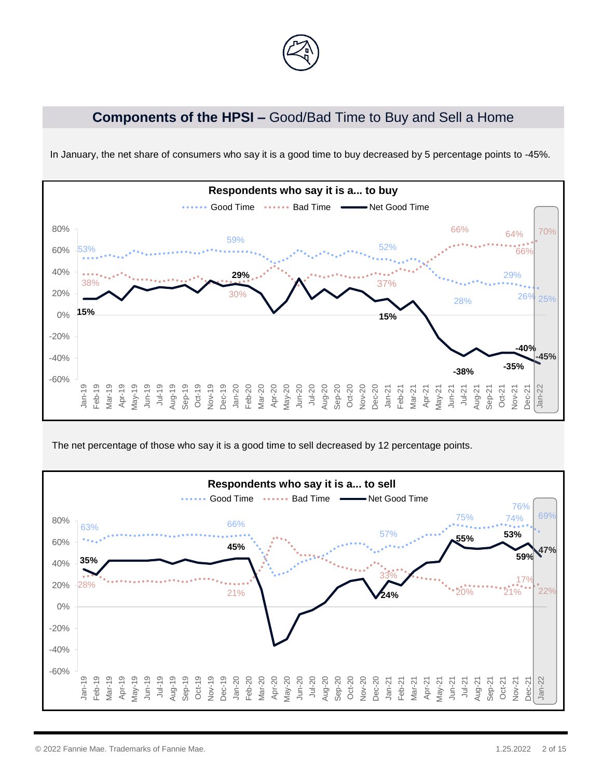

## **Components of the HPSI –** Good/Bad Time to Buy and Sell a Home



In January, the net share of consumers who say it is a good time to buy decreased by 5 percentage points to -45%.

The net percentage of those who say it is a good time to sell decreased by 12 percentage points.

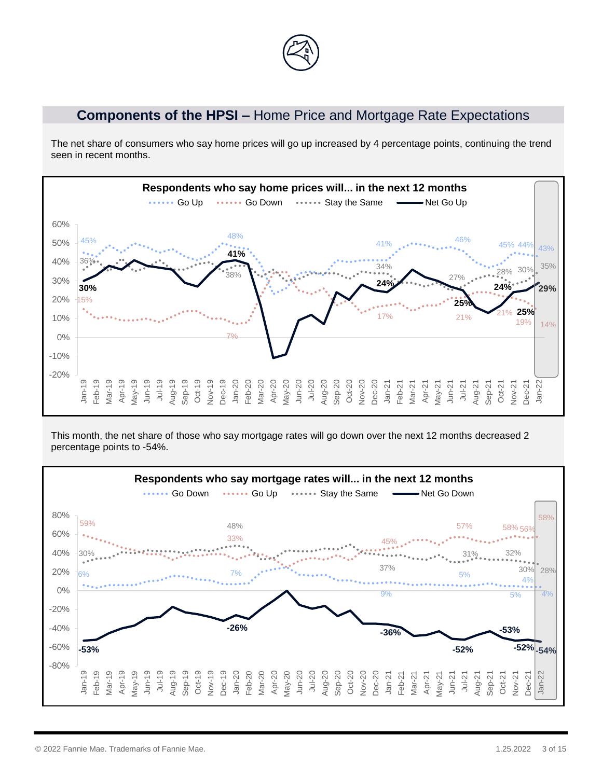### **Components of the HPSI –** Home Price and Mortgage Rate Expectations

The net share of consumers who say home prices will go up increased by 4 percentage points, continuing the trend seen in recent months.



This month, the net share of those who say mortgage rates will go down over the next 12 months decreased 2 percentage points to -54%.

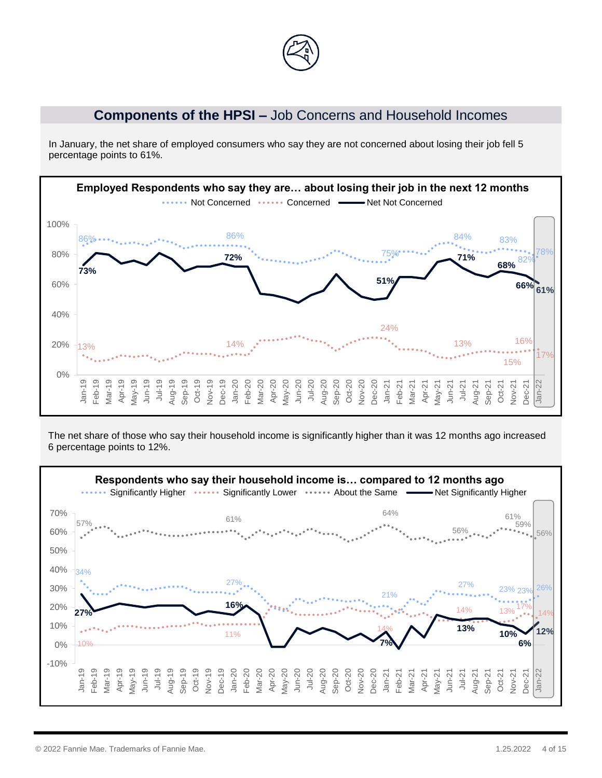

#### **Components of the HPSI –** Job Concerns and Household Incomes

In January, the net share of employed consumers who say they are not concerned about losing their job fell 5 percentage points to 61%.



The net share of those who say their household income is significantly higher than it was 12 months ago increased 6 percentage points to 12%.

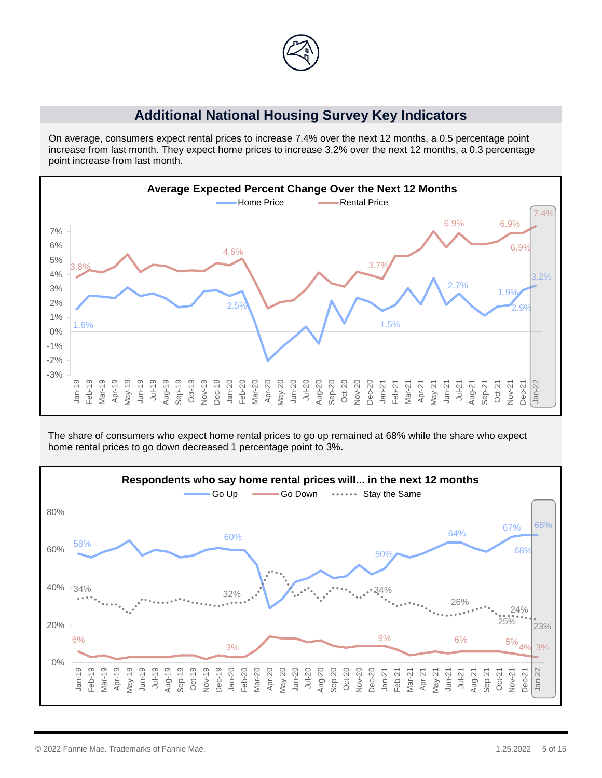

#### **Additional National Housing Survey Key Indicators**

On average, consumers expect rental prices to increase 7.4% over the next 12 months, a 0.5 percentage point increase from last month. They expect home prices to increase 3.2% over the next 12 months, a 0.3 percentage point increase from last month.



The share of consumers who expect home rental prices to go up remained at 68% while the share who expect home rental prices to go down decreased 1 percentage point to 3%.

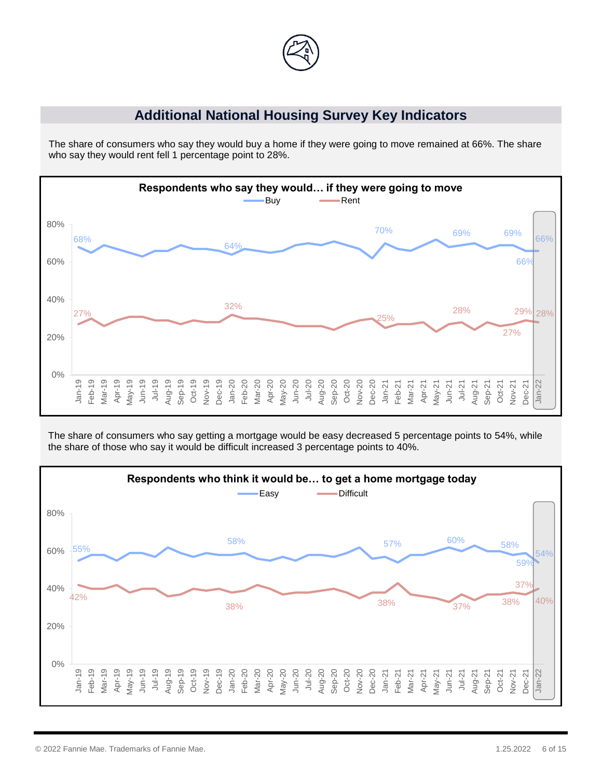

#### **Additional National Housing Survey Key Indicators**

The share of consumers who say they would buy a home if they were going to move remained at 66%. The share who say they would rent fell 1 percentage point to 28%.



The share of consumers who say getting a mortgage would be easy decreased 5 percentage points to 54%, while the share of those who say it would be difficult increased 3 percentage points to 40%.

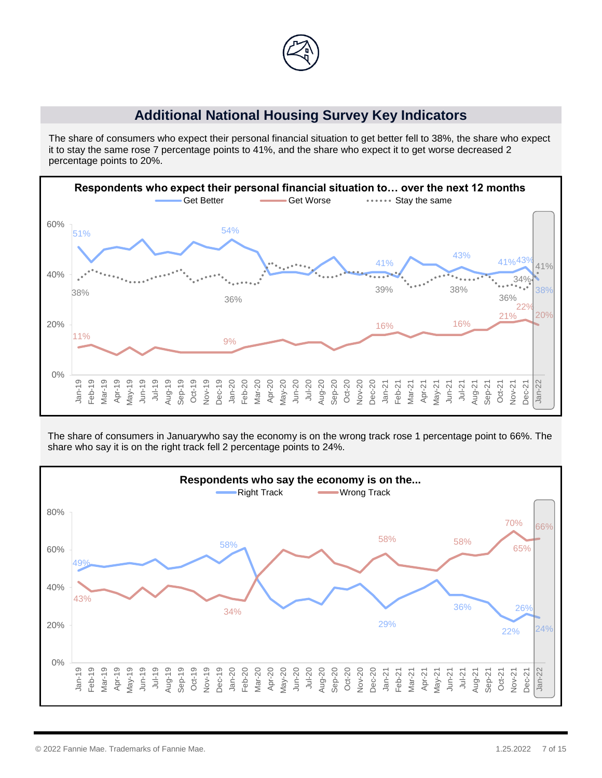

### **Additional National Housing Survey Key Indicators**

The share of consumers who expect their personal financial situation to get better fell to 38%, the share who expect it to stay the same rose 7 percentage points to 41%, and the share who expect it to get worse decreased 2 percentage points to 20%.



The share of consumers in Januarywho say the economy is on the wrong track rose 1 percentage point to 66%. The share who say it is on the right track fell 2 percentage points to 24%.

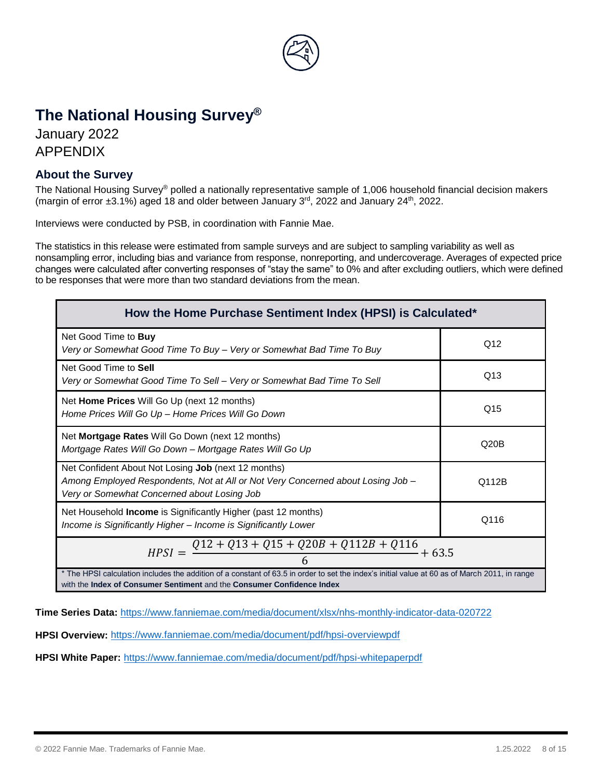

# **The National Housing Survey®**

January 2022 APPENDIX

#### **About the Survey**

The National Housing Survey® polled a nationally representative sample of 1,006 household financial decision makers (margin of error  $\pm 3.1\%$ ) aged 18 and older between January 3<sup>rd</sup>, 2022 and January 24<sup>th</sup>, 2022.

Interviews were conducted by PSB, in coordination with Fannie Mae.

The statistics in this release were estimated from sample surveys and are subject to sampling variability as well as nonsampling error, including bias and variance from response, nonreporting, and undercoverage. Averages of expected price changes were calculated after converting responses of "stay the same" to 0% and after excluding outliers, which were defined to be responses that were more than two standard deviations from the mean.

| How the Home Purchase Sentiment Index (HPSI) is Calculated*                                                                                                                                                                    |                 |  |  |  |
|--------------------------------------------------------------------------------------------------------------------------------------------------------------------------------------------------------------------------------|-----------------|--|--|--|
| Net Good Time to Buy<br>Very or Somewhat Good Time To Buy - Very or Somewhat Bad Time To Buy                                                                                                                                   | Q <sub>12</sub> |  |  |  |
| Net Good Time to Sell<br>Very or Somewhat Good Time To Sell – Very or Somewhat Bad Time To Sell                                                                                                                                | Q13             |  |  |  |
| Net Home Prices Will Go Up (next 12 months)<br>Home Prices Will Go Up - Home Prices Will Go Down                                                                                                                               | Q <sub>15</sub> |  |  |  |
| Net Mortgage Rates Will Go Down (next 12 months)<br>Mortgage Rates Will Go Down – Mortgage Rates Will Go Up                                                                                                                    | Q20B            |  |  |  |
| Net Confident About Not Losing Job (next 12 months)<br>Among Employed Respondents, Not at All or Not Very Concerned about Losing Job -<br>Q112B<br>Very or Somewhat Concerned about Losing Job                                 |                 |  |  |  |
| Net Household Income is Significantly Higher (past 12 months)<br>Q116<br>Income is Significantly Higher - Income is Significantly Lower                                                                                        |                 |  |  |  |
| $HPSI = \frac{Q12 + Q13 + Q15 + Q20B + Q112B + Q116}{4} + 63.5$                                                                                                                                                                |                 |  |  |  |
| * The HPSI calculation includes the addition of a constant of 63.5 in order to set the index's initial value at 60 as of March 2011, in range<br>with the <b>Index of Consumer Sentiment</b> and the Consumer Confidence Index |                 |  |  |  |

with the **Index of Consumer Sentiment** and the **Consumer Confidence Index**

**Time Series Data:** <https://www.fanniemae.com/media/document/xlsx/nhs-monthly-indicator-data-020722>

**HPSI Overview:** <https://www.fanniemae.com/media/document/pdf/hpsi-overviewpdf>

**HPSI White Paper:** <https://www.fanniemae.com/media/document/pdf/hpsi-whitepaperpdf>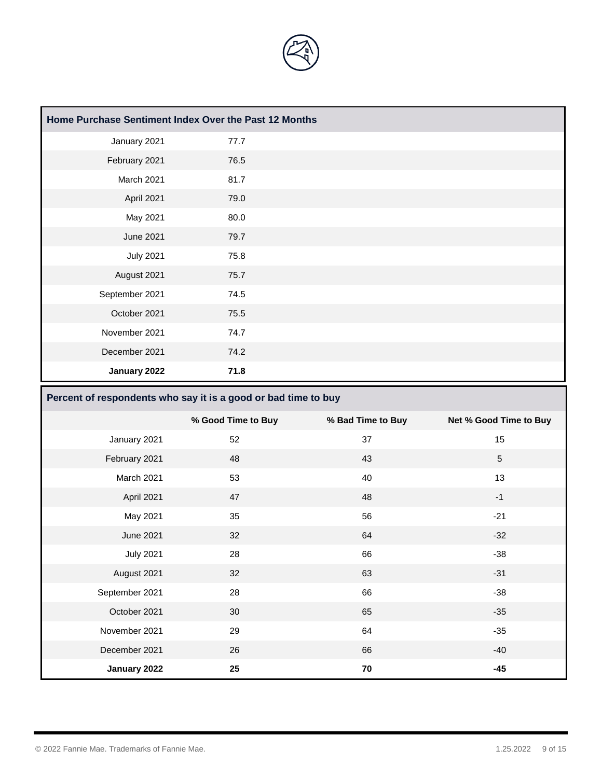

| Home Purchase Sentiment Index Over the Past 12 Months |      |  |
|-------------------------------------------------------|------|--|
| January 2021                                          | 77.7 |  |
| February 2021                                         | 76.5 |  |
| March 2021                                            | 81.7 |  |
| April 2021                                            | 79.0 |  |
| May 2021                                              | 80.0 |  |
| <b>June 2021</b>                                      | 79.7 |  |
| <b>July 2021</b>                                      | 75.8 |  |
| August 2021                                           | 75.7 |  |
| September 2021                                        | 74.5 |  |
| October 2021                                          | 75.5 |  |
| November 2021                                         | 74.7 |  |
| December 2021                                         | 74.2 |  |
| January 2022                                          | 71.8 |  |

# **Percent of respondents who say it is a good or bad time to buy**

|                  | % Good Time to Buy | % Bad Time to Buy | Net % Good Time to Buy |
|------------------|--------------------|-------------------|------------------------|
| January 2021     | 52                 | 37                | 15                     |
| February 2021    | 48                 | 43                | $\sqrt{5}$             |
| March 2021       | 53                 | 40                | 13                     |
| April 2021       | 47                 | 48                | $-1$                   |
| May 2021         | 35                 | 56                | $-21$                  |
| <b>June 2021</b> | 32                 | 64                | $-32$                  |
| <b>July 2021</b> | 28                 | 66                | $-38$                  |
| August 2021      | 32                 | 63                | $-31$                  |
| September 2021   | 28                 | 66                | $-38$                  |
| October 2021     | 30                 | 65                | $-35$                  |
| November 2021    | 29                 | 64                | $-35$                  |
| December 2021    | 26                 | 66                | $-40$                  |
| January 2022     | 25                 | 70                | $-45$                  |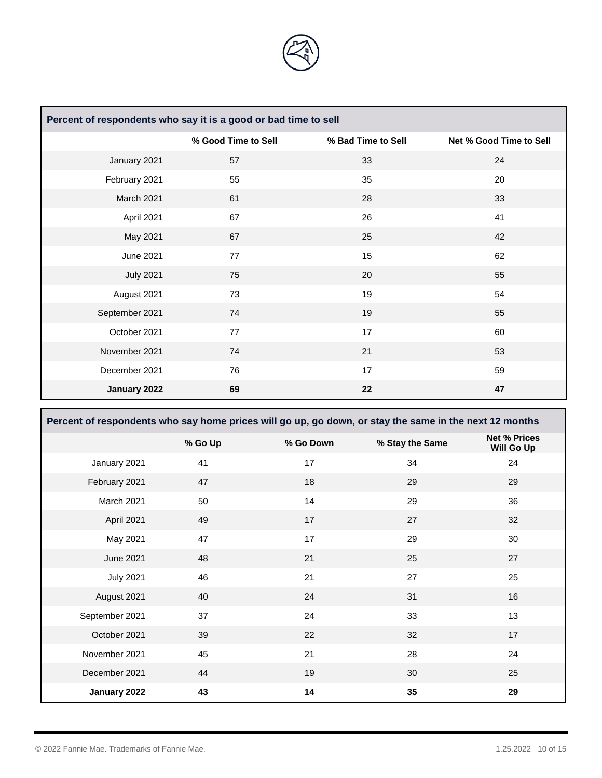

| Percent of respondents who say it is a good or bad time to sell |                     |                    |                         |  |
|-----------------------------------------------------------------|---------------------|--------------------|-------------------------|--|
|                                                                 | % Good Time to Sell | % Bad Time to Sell | Net % Good Time to Sell |  |
| January 2021                                                    | 57                  | 33                 | 24                      |  |
| February 2021                                                   | 55                  | 35                 | 20                      |  |
| March 2021                                                      | 61                  | 28                 | 33                      |  |
| April 2021                                                      | 67                  | 26                 | 41                      |  |
| May 2021                                                        | 67                  | 25                 | 42                      |  |
| June 2021                                                       | 77                  | 15                 | 62                      |  |
| <b>July 2021</b>                                                | 75                  | 20                 | 55                      |  |
| August 2021                                                     | 73                  | 19                 | 54                      |  |
| September 2021                                                  | 74                  | 19                 | 55                      |  |
| October 2021                                                    | 77                  | 17                 | 60                      |  |
| November 2021                                                   | 74                  | 21                 | 53                      |  |
| December 2021                                                   | 76                  | 17                 | 59                      |  |
| January 2022                                                    | 69                  | 22                 | 47                      |  |

**Percent of respondents who say home prices will go up, go down, or stay the same in the next 12 months % Go Up % Go Down % Stay the Same Net % Prices Will Go Up**  January 2021 41 41 17 34 34 24 February 2021 47 47 18 29 29 29 March 2021 50 50 14 29 29 36 April 2021 49 17 27 32 May 2021 47 17 29 30 June 2021 48 21 25 27 July 2021 46 21 27 25 August 2021 40 24 31 31 31 September 2021 37 34 33 33 13 October 2021 39 22 32 17 November 2021 **45** 21 28 24 24 28 24 December 2021 44 4 4 30 30 25 **January 2022 43 14 35 29**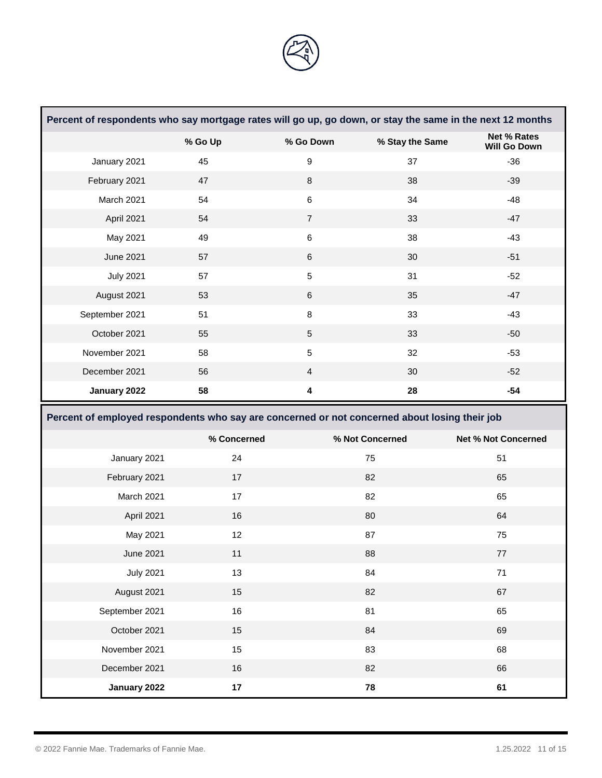

|                                                                                               | Percent of respondents who say mortgage rates will go up, go down, or stay the same in the next 12 months |                  |                 |                                           |  |
|-----------------------------------------------------------------------------------------------|-----------------------------------------------------------------------------------------------------------|------------------|-----------------|-------------------------------------------|--|
|                                                                                               | % Go Up                                                                                                   | % Go Down        | % Stay the Same | <b>Net % Rates</b><br><b>Will Go Down</b> |  |
| January 2021                                                                                  | 45                                                                                                        | $\boldsymbol{9}$ | 37              | $-36$                                     |  |
| February 2021                                                                                 | 47                                                                                                        | $\bf 8$          | 38              | $-39$                                     |  |
| March 2021                                                                                    | 54                                                                                                        | $\,6\,$          | 34              | $-48$                                     |  |
| April 2021                                                                                    | 54                                                                                                        | $\overline{7}$   | 33              | $-47$                                     |  |
| May 2021                                                                                      | 49                                                                                                        | $\,6\,$          | 38              | $-43$                                     |  |
| <b>June 2021</b>                                                                              | 57                                                                                                        | $\,6\,$          | 30              | $-51$                                     |  |
| <b>July 2021</b>                                                                              | 57                                                                                                        | $\sqrt{5}$       | 31              | $-52$                                     |  |
| August 2021                                                                                   | 53                                                                                                        | $\,6$            | 35              | $-47$                                     |  |
| September 2021                                                                                | 51                                                                                                        | $\bf 8$          | 33              | $-43$                                     |  |
| October 2021                                                                                  | 55                                                                                                        | $\sqrt{5}$       | 33              | $-50$                                     |  |
| November 2021                                                                                 | 58                                                                                                        | $\sqrt{5}$       | 32              | $-53$                                     |  |
| December 2021                                                                                 | 56                                                                                                        | $\overline{4}$   | 30              | $-52$                                     |  |
| January 2022                                                                                  | 58                                                                                                        | 4                | 28              | $-54$                                     |  |
| Percent of employed respondents who say are concerned or not concerned about losing their job |                                                                                                           |                  |                 |                                           |  |
|                                                                                               |                                                                                                           |                  |                 |                                           |  |
|                                                                                               | % Concerned                                                                                               |                  | % Not Concerned | <b>Net % Not Concerned</b>                |  |
| January 2021                                                                                  | 24                                                                                                        |                  | 75              | 51                                        |  |
| February 2021                                                                                 | 17                                                                                                        |                  | 82              | 65                                        |  |
| March 2021                                                                                    | 17                                                                                                        |                  | 82              | 65                                        |  |
| April 2021                                                                                    | 16                                                                                                        |                  | 80              | 64                                        |  |
| May 2021                                                                                      | 12                                                                                                        |                  | 87              | 75                                        |  |
| <b>June 2021</b>                                                                              | 11                                                                                                        |                  | 88              | 77                                        |  |
| <b>July 2021</b>                                                                              | 13                                                                                                        |                  | 84              | 71                                        |  |
| August 2021                                                                                   | 15                                                                                                        |                  | 82              | 67                                        |  |
| September 2021                                                                                | 16                                                                                                        |                  | 81              | 65                                        |  |
| October 2021                                                                                  | 15                                                                                                        |                  | 84              | 69                                        |  |
| November 2021                                                                                 | 15                                                                                                        |                  | 83              | 68                                        |  |
| December 2021                                                                                 | 16                                                                                                        |                  | 82              | 66                                        |  |

**The Committee of the Committee of the Committee** 

and the state of the state of the state of the state of the state of the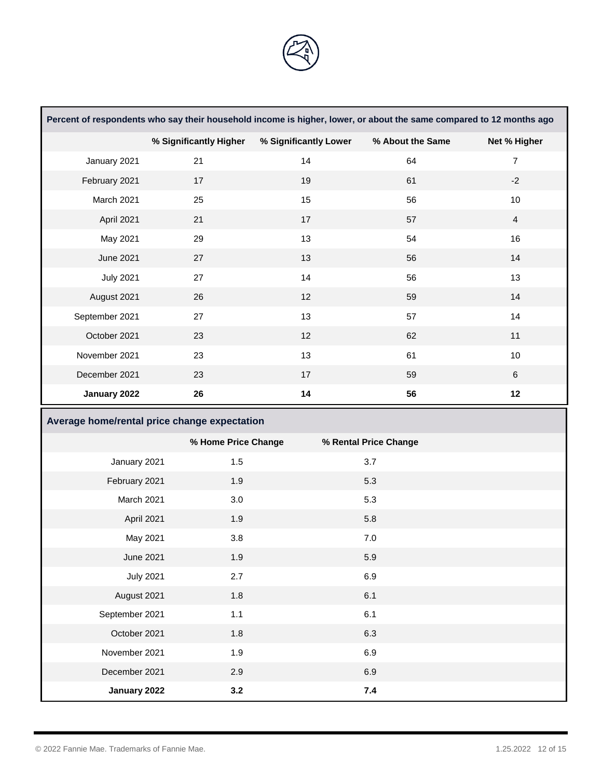

| Percent of respondents who say their household income is higher, lower, or about the same compared to 12 months ago |                        |                       |                       |                |  |
|---------------------------------------------------------------------------------------------------------------------|------------------------|-----------------------|-----------------------|----------------|--|
|                                                                                                                     | % Significantly Higher | % Significantly Lower | % About the Same      | Net % Higher   |  |
| January 2021                                                                                                        | 21                     | 14                    | 64                    | $\overline{7}$ |  |
| February 2021                                                                                                       | 17                     | 19                    | 61                    | $-2$           |  |
| March 2021                                                                                                          | 25                     | 15                    | 56                    | 10             |  |
| April 2021                                                                                                          | 21                     | 17                    | 57                    | $\overline{4}$ |  |
| May 2021                                                                                                            | 29                     | 13                    | 54                    | 16             |  |
| <b>June 2021</b>                                                                                                    | 27                     | 13                    | 56                    | 14             |  |
| <b>July 2021</b>                                                                                                    | 27                     | 14                    | 56                    | 13             |  |
| August 2021                                                                                                         | 26                     | 12                    | 59                    | 14             |  |
| September 2021                                                                                                      | 27                     | 13                    | 57                    | 14             |  |
| October 2021                                                                                                        | 23                     | 12                    | 62                    | 11             |  |
| November 2021                                                                                                       | 23                     | 13                    | 61                    | 10             |  |
| December 2021                                                                                                       | 23                     | 17                    | 59                    | $6\phantom{1}$ |  |
| January 2022                                                                                                        | 26                     | 14                    | 56                    | 12             |  |
| Average home/rental price change expectation                                                                        |                        |                       |                       |                |  |
|                                                                                                                     | % Home Price Change    |                       | % Rental Price Change |                |  |

|                  | % Home Price Change | % Rental Price Change |  |
|------------------|---------------------|-----------------------|--|
| January 2021     | 1.5                 | 3.7                   |  |
| February 2021    | 1.9                 | 5.3                   |  |
| March 2021       | 3.0                 | 5.3                   |  |
| April 2021       | 1.9                 | 5.8                   |  |
| May 2021         | 3.8                 | 7.0                   |  |
| June 2021        | 1.9                 | 5.9                   |  |
| <b>July 2021</b> | 2.7                 | 6.9                   |  |
| August 2021      | 1.8                 | 6.1                   |  |
| September 2021   | 1.1                 | 6.1                   |  |
| October 2021     | 1.8                 | 6.3                   |  |
| November 2021    | 1.9                 | 6.9                   |  |
| December 2021    | 2.9                 | 6.9                   |  |
| January 2022     | 3.2                 | 7.4                   |  |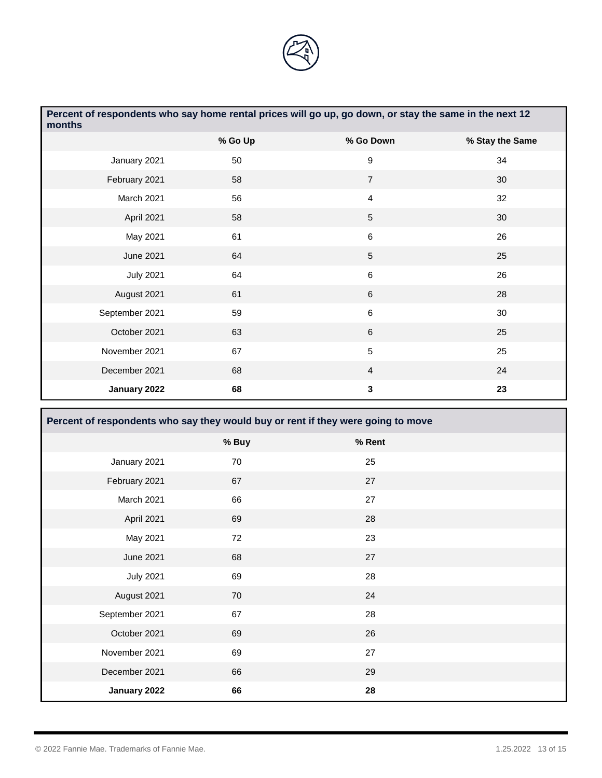

| Percent of respondents who say home rental prices will go up, go down, or stay the same in the next 12<br>months |         |                 |                 |  |  |
|------------------------------------------------------------------------------------------------------------------|---------|-----------------|-----------------|--|--|
|                                                                                                                  | % Go Up | % Go Down       | % Stay the Same |  |  |
| January 2021                                                                                                     | 50      | 9               | 34              |  |  |
| February 2021                                                                                                    | 58      | $\overline{7}$  | 30              |  |  |
| March 2021                                                                                                       | 56      | 4               | 32              |  |  |
| April 2021                                                                                                       | 58      | 5               | 30              |  |  |
| May 2021                                                                                                         | 61      | 6               | 26              |  |  |
| <b>June 2021</b>                                                                                                 | 64      | $5\phantom{.0}$ | 25              |  |  |
| <b>July 2021</b>                                                                                                 | 64      | 6               | 26              |  |  |
| August 2021                                                                                                      | 61      | $\,6\,$         | 28              |  |  |
| September 2021                                                                                                   | 59      | 6               | 30              |  |  |
| October 2021                                                                                                     | 63      | $\,6\,$         | 25              |  |  |
| November 2021                                                                                                    | 67      | 5               | 25              |  |  |
| December 2021                                                                                                    | 68      | 4               | 24              |  |  |
| January 2022                                                                                                     | 68      | 3               | 23              |  |  |

| Percent of respondents who say they would buy or rent if they were going to move |       |        |  |  |
|----------------------------------------------------------------------------------|-------|--------|--|--|
|                                                                                  | % Buy | % Rent |  |  |
| January 2021                                                                     | 70    | 25     |  |  |
| February 2021                                                                    | 67    | 27     |  |  |
| March 2021                                                                       | 66    | 27     |  |  |
| April 2021                                                                       | 69    | 28     |  |  |
| May 2021                                                                         | 72    | 23     |  |  |
| <b>June 2021</b>                                                                 | 68    | 27     |  |  |
| <b>July 2021</b>                                                                 | 69    | 28     |  |  |
| August 2021                                                                      | 70    | 24     |  |  |
| September 2021                                                                   | 67    | 28     |  |  |
| October 2021                                                                     | 69    | 26     |  |  |
| November 2021                                                                    | 69    | 27     |  |  |
| December 2021                                                                    | 66    | 29     |  |  |
| January 2022                                                                     | 66    | 28     |  |  |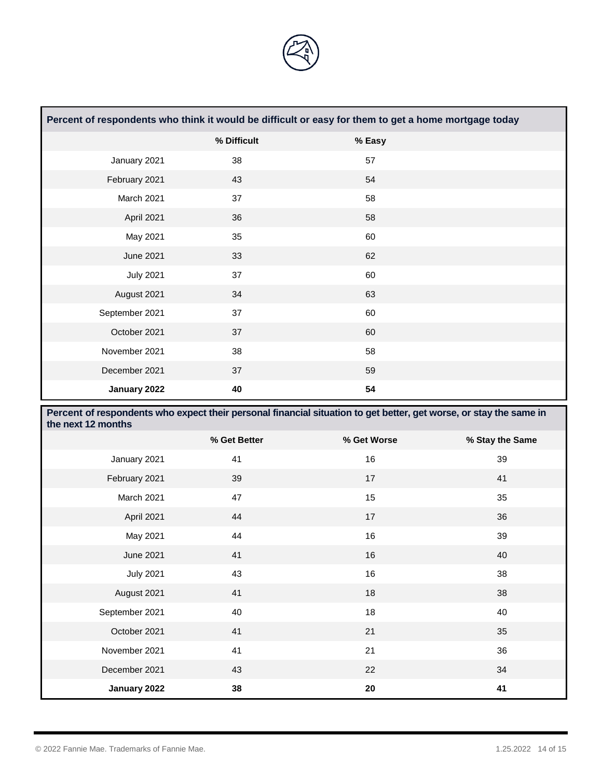

| Percent of respondents who think it would be difficult or easy for them to get a home mortgage today |             |        |  |  |  |
|------------------------------------------------------------------------------------------------------|-------------|--------|--|--|--|
|                                                                                                      | % Difficult | % Easy |  |  |  |
| January 2021                                                                                         | 38          | 57     |  |  |  |
| February 2021                                                                                        | 43          | 54     |  |  |  |
| March 2021                                                                                           | 37          | 58     |  |  |  |
| April 2021                                                                                           | 36          | 58     |  |  |  |
| May 2021                                                                                             | 35          | 60     |  |  |  |
| June 2021                                                                                            | 33          | 62     |  |  |  |
| <b>July 2021</b>                                                                                     | 37          | 60     |  |  |  |
| August 2021                                                                                          | 34          | 63     |  |  |  |
| September 2021                                                                                       | 37          | 60     |  |  |  |
| October 2021                                                                                         | 37          | 60     |  |  |  |
| November 2021                                                                                        | 38          | 58     |  |  |  |
| December 2021                                                                                        | 37          | 59     |  |  |  |
| January 2022                                                                                         | 40          | 54     |  |  |  |

| Percent of respondents who expect their personal financial situation to get better, get worse, or stay the same in<br>the next 12 months |              |             |                 |  |
|------------------------------------------------------------------------------------------------------------------------------------------|--------------|-------------|-----------------|--|
|                                                                                                                                          | % Get Better | % Get Worse | % Stay the Same |  |
| January 2021                                                                                                                             | 41           | 16          | 39              |  |
| February 2021                                                                                                                            | 39           | 17          | 41              |  |
| March 2021                                                                                                                               | 47           | 15          | 35              |  |
| April 2021                                                                                                                               | 44           | 17          | 36              |  |
| May 2021                                                                                                                                 | 44           | 16          | 39              |  |
| <b>June 2021</b>                                                                                                                         | 41           | 16          | 40              |  |
| <b>July 2021</b>                                                                                                                         | 43           | 16          | 38              |  |
| August 2021                                                                                                                              | 41           | 18          | 38              |  |
| September 2021                                                                                                                           | 40           | 18          | 40              |  |
| October 2021                                                                                                                             | 41           | 21          | 35              |  |
| November 2021                                                                                                                            | 41           | 21          | 36              |  |
| December 2021                                                                                                                            | 43           | 22          | 34              |  |
| January 2022                                                                                                                             | 38           | 20          | 41              |  |